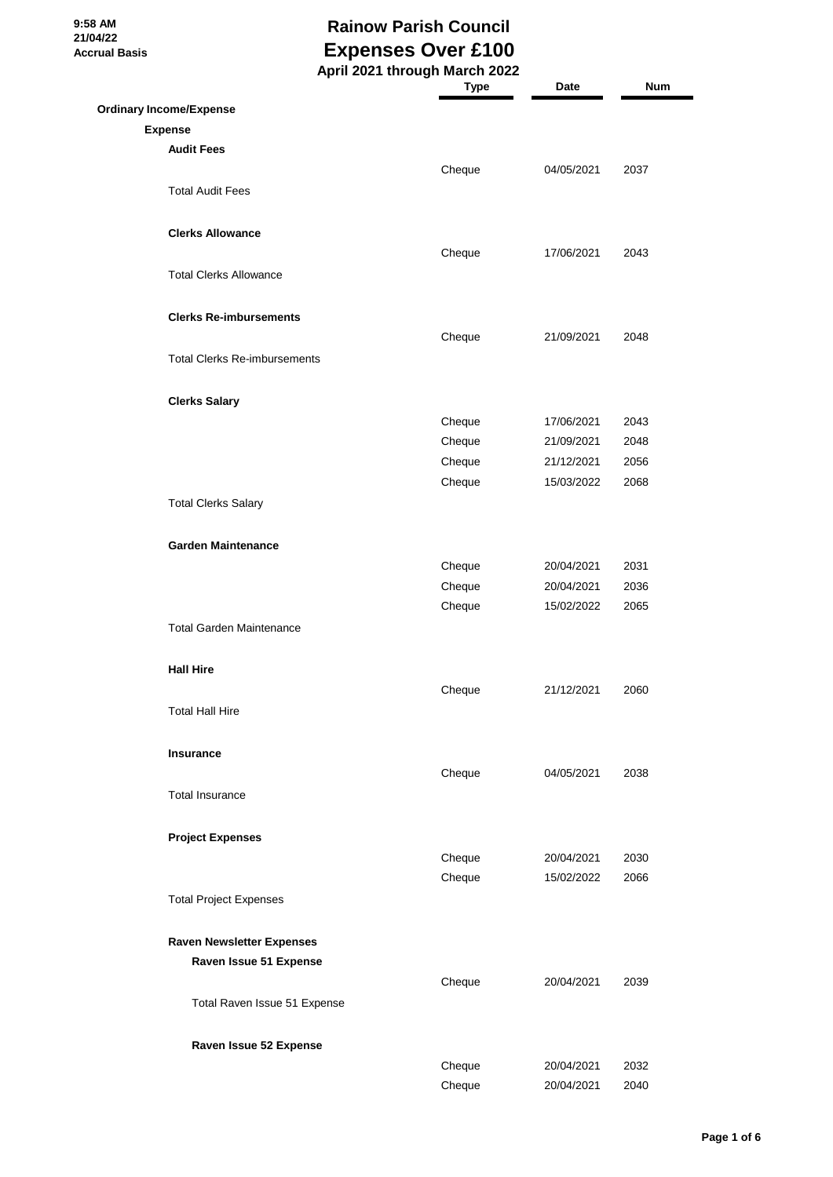**9:58 AM 21/04/22 Accrual Basis**

# **Rainow Parish Council Expenses Over £100**

|                                     | April 2021 through March 2022 |            |      |
|-------------------------------------|-------------------------------|------------|------|
|                                     | <b>Type</b>                   | Date       | Num  |
| <b>Ordinary Income/Expense</b>      |                               |            |      |
| <b>Expense</b>                      |                               |            |      |
| <b>Audit Fees</b>                   |                               |            |      |
|                                     |                               |            |      |
|                                     | Cheque                        | 04/05/2021 | 2037 |
| <b>Total Audit Fees</b>             |                               |            |      |
|                                     |                               |            |      |
| <b>Clerks Allowance</b>             |                               |            |      |
|                                     | Cheque                        | 17/06/2021 | 2043 |
| <b>Total Clerks Allowance</b>       |                               |            |      |
|                                     |                               |            |      |
| <b>Clerks Re-imbursements</b>       |                               |            |      |
|                                     | Cheque                        | 21/09/2021 | 2048 |
| <b>Total Clerks Re-imbursements</b> |                               |            |      |
|                                     |                               |            |      |
| <b>Clerks Salary</b>                |                               |            |      |
|                                     | Cheque                        | 17/06/2021 | 2043 |
|                                     |                               |            |      |
|                                     | Cheque                        | 21/09/2021 | 2048 |
|                                     | Cheque                        | 21/12/2021 | 2056 |
|                                     | Cheque                        | 15/03/2022 | 2068 |
| <b>Total Clerks Salary</b>          |                               |            |      |
|                                     |                               |            |      |
| <b>Garden Maintenance</b>           |                               |            |      |
|                                     | Cheque                        | 20/04/2021 | 2031 |
|                                     | Cheque                        | 20/04/2021 | 2036 |
|                                     | Cheque                        | 15/02/2022 | 2065 |
| <b>Total Garden Maintenance</b>     |                               |            |      |
|                                     |                               |            |      |
| <b>Hall Hire</b>                    |                               |            |      |
|                                     | Cheque                        | 21/12/2021 | 2060 |
| <b>Total Hall Hire</b>              |                               |            |      |
|                                     |                               |            |      |
| <b>Insurance</b>                    |                               |            |      |
|                                     | Cheque                        | 04/05/2021 | 2038 |
|                                     |                               |            |      |
| <b>Total Insurance</b>              |                               |            |      |
|                                     |                               |            |      |
| <b>Project Expenses</b>             |                               |            |      |
|                                     | Cheque                        | 20/04/2021 | 2030 |
|                                     | Cheque                        | 15/02/2022 | 2066 |
| <b>Total Project Expenses</b>       |                               |            |      |
|                                     |                               |            |      |
| <b>Raven Newsletter Expenses</b>    |                               |            |      |
| Raven Issue 51 Expense              |                               |            |      |
|                                     | Cheque                        | 20/04/2021 | 2039 |
| Total Raven Issue 51 Expense        |                               |            |      |
|                                     |                               |            |      |
| Raven Issue 52 Expense              |                               |            |      |
|                                     | Cheque                        | 20/04/2021 | 2032 |
|                                     | Cheque                        | 20/04/2021 | 2040 |
|                                     |                               |            |      |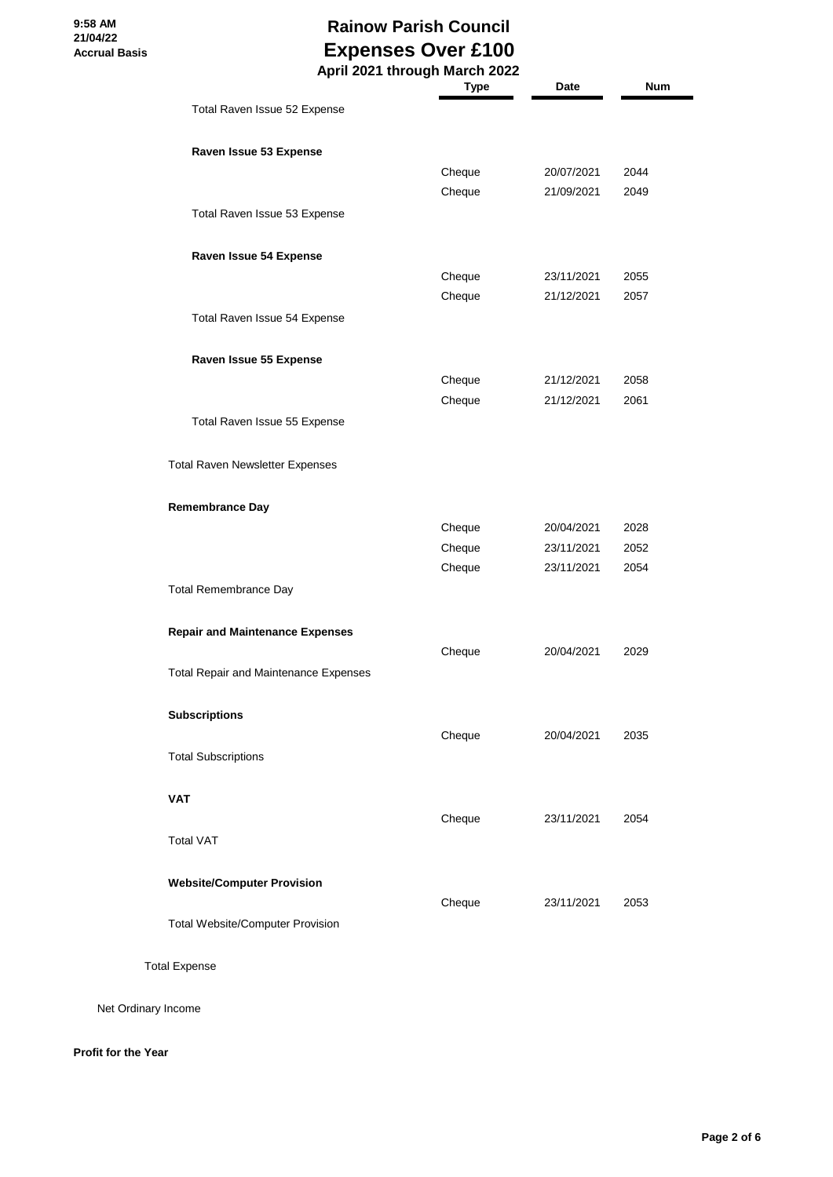#### **Rainow Parish Council Expenses Over £100 April 2021 through March 2022**

|                                              | <b>Type</b> | Date       | Num  |
|----------------------------------------------|-------------|------------|------|
| Total Raven Issue 52 Expense                 |             |            |      |
| Raven Issue 53 Expense                       |             |            |      |
|                                              | Cheque      | 20/07/2021 | 2044 |
|                                              | Cheque      | 21/09/2021 | 2049 |
| Total Raven Issue 53 Expense                 |             |            |      |
| Raven Issue 54 Expense                       |             |            |      |
|                                              | Cheque      | 23/11/2021 | 2055 |
|                                              | Cheque      | 21/12/2021 | 2057 |
| Total Raven Issue 54 Expense                 |             |            |      |
| Raven Issue 55 Expense                       |             |            |      |
|                                              | Cheque      | 21/12/2021 | 2058 |
|                                              | Cheque      | 21/12/2021 | 2061 |
| Total Raven Issue 55 Expense                 |             |            |      |
| <b>Total Raven Newsletter Expenses</b>       |             |            |      |
| <b>Remembrance Day</b>                       |             |            |      |
|                                              | Cheque      | 20/04/2021 | 2028 |
|                                              | Cheque      | 23/11/2021 | 2052 |
|                                              | Cheque      | 23/11/2021 | 2054 |
| <b>Total Remembrance Day</b>                 |             |            |      |
| <b>Repair and Maintenance Expenses</b>       |             |            |      |
|                                              | Cheque      | 20/04/2021 | 2029 |
| <b>Total Repair and Maintenance Expenses</b> |             |            |      |
| <b>Subscriptions</b>                         |             |            |      |
|                                              | Cheque      | 20/04/2021 | 2035 |
| <b>Total Subscriptions</b>                   |             |            |      |
| VAT                                          |             |            |      |
|                                              | Cheque      | 23/11/2021 | 2054 |
| <b>Total VAT</b>                             |             |            |      |
| <b>Website/Computer Provision</b>            |             |            |      |
|                                              | Cheque      | 23/11/2021 | 2053 |
| <b>Total Website/Computer Provision</b>      |             |            |      |
|                                              |             |            |      |

Total Expense

Net Ordinary Income

#### **Profit for the Year**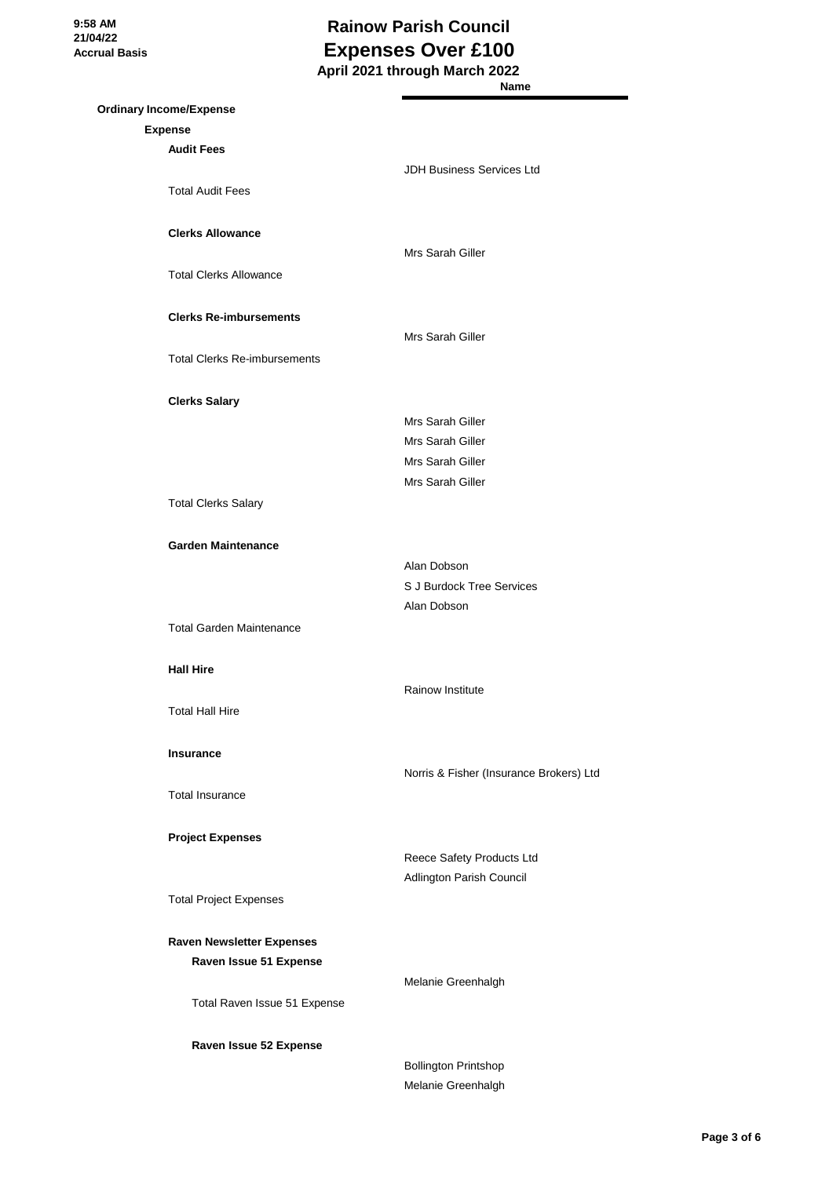**9:58 AM 21/04/22 Accrual Basis**

### **Rainow Parish Council Expenses Over £100 April 2021 through March 2022**

|                                     | Name                                    |
|-------------------------------------|-----------------------------------------|
| <b>Ordinary Income/Expense</b>      |                                         |
| <b>Expense</b>                      |                                         |
| <b>Audit Fees</b>                   |                                         |
|                                     | JDH Business Services Ltd               |
| <b>Total Audit Fees</b>             |                                         |
|                                     |                                         |
| <b>Clerks Allowance</b>             |                                         |
|                                     | Mrs Sarah Giller                        |
| <b>Total Clerks Allowance</b>       |                                         |
|                                     |                                         |
| <b>Clerks Re-imbursements</b>       |                                         |
|                                     | Mrs Sarah Giller                        |
| <b>Total Clerks Re-imbursements</b> |                                         |
|                                     |                                         |
| <b>Clerks Salary</b>                |                                         |
|                                     | Mrs Sarah Giller                        |
|                                     | Mrs Sarah Giller                        |
|                                     | Mrs Sarah Giller                        |
|                                     | Mrs Sarah Giller                        |
| <b>Total Clerks Salary</b>          |                                         |
|                                     |                                         |
| <b>Garden Maintenance</b>           |                                         |
|                                     | Alan Dobson                             |
|                                     | S J Burdock Tree Services               |
|                                     | Alan Dobson                             |
| <b>Total Garden Maintenance</b>     |                                         |
|                                     |                                         |
| <b>Hall Hire</b>                    |                                         |
|                                     | <b>Rainow Institute</b>                 |
| <b>Total Hall Hire</b>              |                                         |
|                                     |                                         |
| <b>Insurance</b>                    |                                         |
|                                     | Norris & Fisher (Insurance Brokers) Ltd |
| <b>Total Insurance</b>              |                                         |
|                                     |                                         |
| <b>Project Expenses</b>             |                                         |
|                                     | Reece Safety Products Ltd               |
|                                     | Adlington Parish Council                |
| <b>Total Project Expenses</b>       |                                         |
|                                     |                                         |
| <b>Raven Newsletter Expenses</b>    |                                         |
| Raven Issue 51 Expense              |                                         |
|                                     | Melanie Greenhalgh                      |
| Total Raven Issue 51 Expense        |                                         |
|                                     |                                         |
| Raven Issue 52 Expense              |                                         |
|                                     | <b>Bollington Printshop</b>             |

Melanie Greenhalgh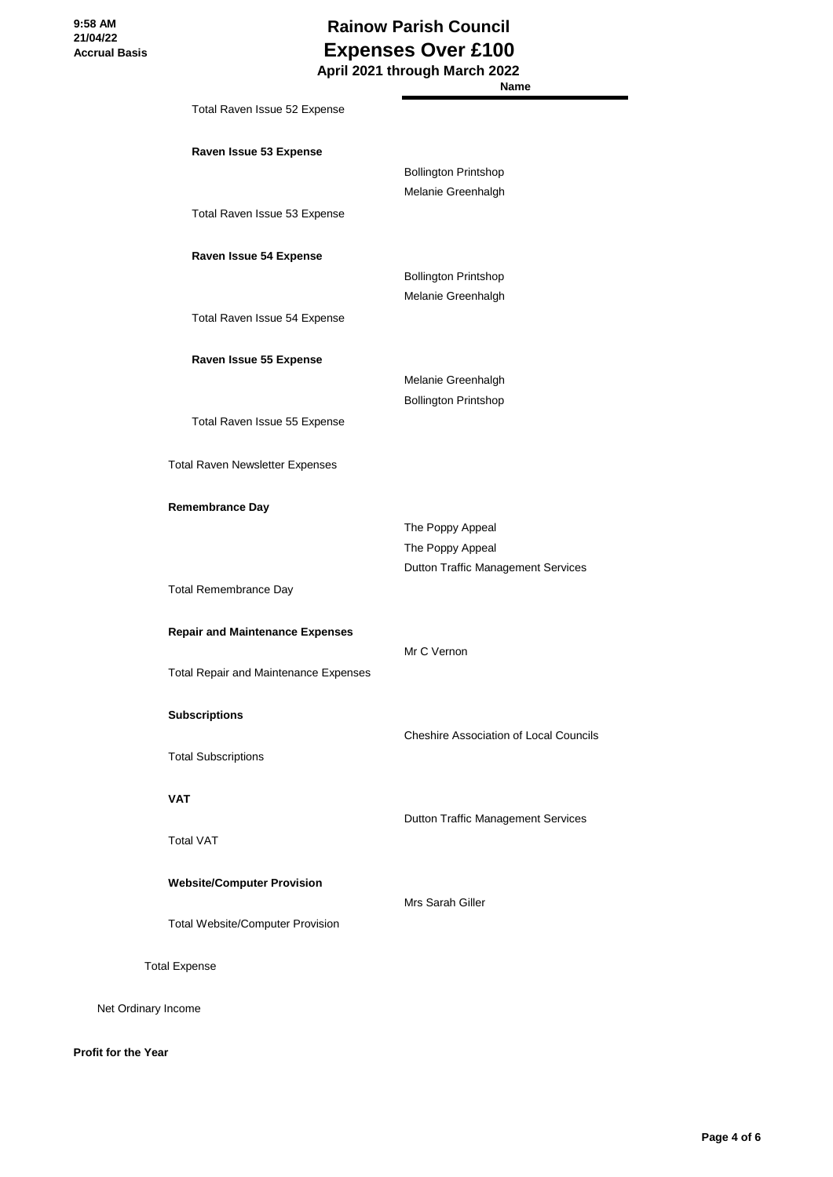**Name**

| Total Raven Issue 52 Expense                           |                                                                            |
|--------------------------------------------------------|----------------------------------------------------------------------------|
| Raven Issue 53 Expense                                 | <b>Bollington Printshop</b><br>Melanie Greenhalgh                          |
| Total Raven Issue 53 Expense                           |                                                                            |
| Raven Issue 54 Expense                                 | <b>Bollington Printshop</b><br>Melanie Greenhalgh                          |
| Total Raven Issue 54 Expense                           |                                                                            |
| Raven Issue 55 Expense<br>Total Raven Issue 55 Expense | Melanie Greenhalgh<br><b>Bollington Printshop</b>                          |
| Total Raven Newsletter Expenses                        |                                                                            |
| <b>Remembrance Day</b>                                 | The Poppy Appeal<br>The Poppy Appeal<br>Dutton Traffic Management Services |
| <b>Total Remembrance Day</b>                           |                                                                            |
| <b>Repair and Maintenance Expenses</b>                 | Mr C Vernon                                                                |
| <b>Total Repair and Maintenance Expenses</b>           |                                                                            |
| <b>Subscriptions</b>                                   | Cheshire Association of Local Councils                                     |
| <b>Total Subscriptions</b>                             |                                                                            |
| <b>VAT</b>                                             | Dutton Traffic Management Services                                         |
| <b>Total VAT</b>                                       |                                                                            |
| <b>Website/Computer Provision</b>                      | Mrs Sarah Giller                                                           |
| <b>Total Website/Computer Provision</b>                |                                                                            |
| <b>Total Expense</b>                                   |                                                                            |
| Net Ordinary Income                                    |                                                                            |

**Profit for the Year**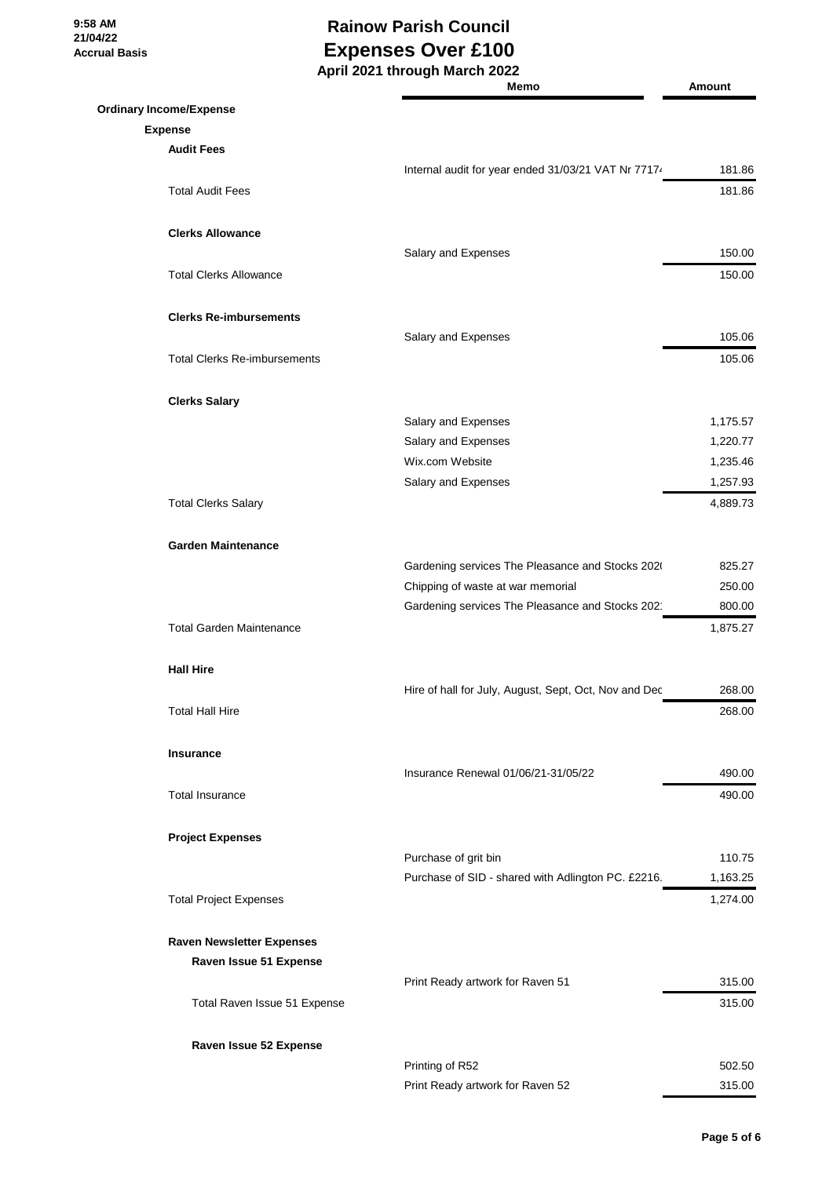**9:58 AM 21/04/22 Accrual Basis**

#### **Rainow Parish Council Expenses Over £100 April 2021 through March 2022**

|                                     | Memo                                                  | Amount   |
|-------------------------------------|-------------------------------------------------------|----------|
| <b>Ordinary Income/Expense</b>      |                                                       |          |
| <b>Expense</b>                      |                                                       |          |
| <b>Audit Fees</b>                   |                                                       |          |
|                                     | Internal audit for year ended 31/03/21 VAT Nr 77174   | 181.86   |
| <b>Total Audit Fees</b>             |                                                       | 181.86   |
| <b>Clerks Allowance</b>             |                                                       |          |
|                                     | Salary and Expenses                                   | 150.00   |
| <b>Total Clerks Allowance</b>       |                                                       | 150.00   |
| <b>Clerks Re-imbursements</b>       |                                                       |          |
|                                     | Salary and Expenses                                   | 105.06   |
| <b>Total Clerks Re-imbursements</b> |                                                       | 105.06   |
| <b>Clerks Salary</b>                |                                                       |          |
|                                     | Salary and Expenses                                   | 1,175.57 |
|                                     | Salary and Expenses                                   | 1,220.77 |
|                                     | Wix.com Website                                       | 1,235.46 |
|                                     | Salary and Expenses                                   | 1,257.93 |
| <b>Total Clerks Salary</b>          |                                                       | 4,889.73 |
| <b>Garden Maintenance</b>           |                                                       |          |
|                                     | Gardening services The Pleasance and Stocks 2020      | 825.27   |
|                                     | Chipping of waste at war memorial                     | 250.00   |
|                                     | Gardening services The Pleasance and Stocks 202       | 800.00   |
| <b>Total Garden Maintenance</b>     |                                                       | 1,875.27 |
| <b>Hall Hire</b>                    |                                                       |          |
|                                     | Hire of hall for July, August, Sept, Oct, Nov and Dec | 268.00   |
| Total Hall Hire                     |                                                       | 268.00   |
| Insurance                           |                                                       |          |
|                                     | Insurance Renewal 01/06/21-31/05/22                   | 490.00   |
| <b>Total Insurance</b>              |                                                       | 490.00   |
| <b>Project Expenses</b>             |                                                       |          |
|                                     | Purchase of grit bin                                  | 110.75   |
|                                     | Purchase of SID - shared with Adlington PC. £2216.    | 1,163.25 |
| <b>Total Project Expenses</b>       |                                                       | 1,274.00 |
| <b>Raven Newsletter Expenses</b>    |                                                       |          |
| Raven Issue 51 Expense              |                                                       |          |
|                                     | Print Ready artwork for Raven 51                      | 315.00   |
| Total Raven Issue 51 Expense        |                                                       | 315.00   |
| Raven Issue 52 Expense              |                                                       |          |
|                                     | Printing of R52                                       | 502.50   |
|                                     | Print Ready artwork for Raven 52                      | 315.00   |